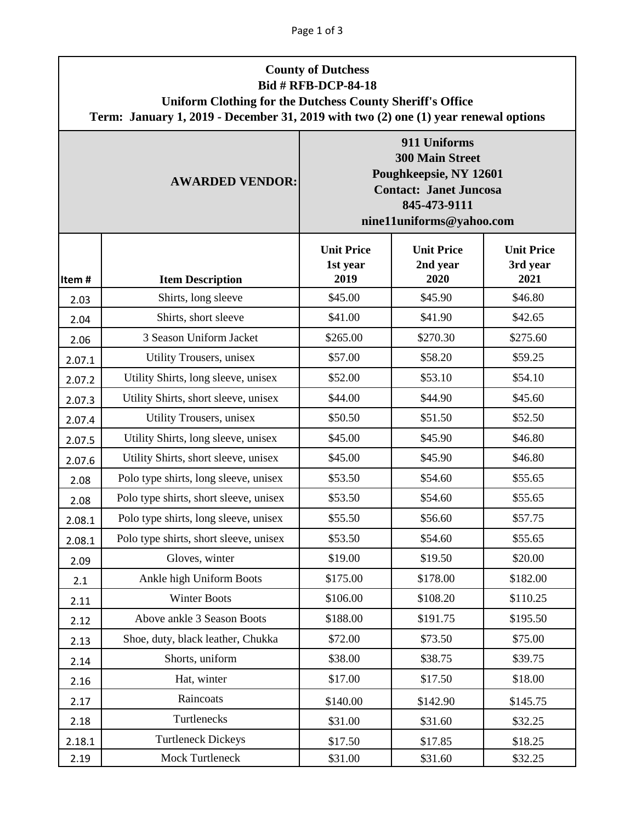| <b>County of Dutchess</b><br><b>Bid # RFB-DCP-84-18</b><br><b>Uniform Clothing for the Dutchess County Sheriff's Office</b><br>Term: January 1, 2019 - December 31, 2019 with two (2) one (1) year renewal options |                                        |                                                                                                                                               |                                       |                                       |  |  |  |
|--------------------------------------------------------------------------------------------------------------------------------------------------------------------------------------------------------------------|----------------------------------------|-----------------------------------------------------------------------------------------------------------------------------------------------|---------------------------------------|---------------------------------------|--|--|--|
|                                                                                                                                                                                                                    | <b>AWARDED VENDOR:</b>                 | 911 Uniforms<br><b>300 Main Street</b><br>Poughkeepsie, NY 12601<br><b>Contact: Janet Juncosa</b><br>845-473-9111<br>nine11uniforms@yahoo.com |                                       |                                       |  |  |  |
| Item#                                                                                                                                                                                                              | <b>Item Description</b>                | <b>Unit Price</b><br>1st year<br>2019                                                                                                         | <b>Unit Price</b><br>2nd year<br>2020 | <b>Unit Price</b><br>3rd year<br>2021 |  |  |  |
| 2.03                                                                                                                                                                                                               | Shirts, long sleeve                    | \$45.00                                                                                                                                       | \$45.90                               | \$46.80                               |  |  |  |
| 2.04                                                                                                                                                                                                               | Shirts, short sleeve                   | \$41.00                                                                                                                                       | \$41.90                               | \$42.65                               |  |  |  |
| 2.06                                                                                                                                                                                                               | 3 Season Uniform Jacket                | \$265.00                                                                                                                                      | \$270.30                              | \$275.60                              |  |  |  |
| 2.07.1                                                                                                                                                                                                             | Utility Trousers, unisex               | \$57.00                                                                                                                                       | \$58.20                               | \$59.25                               |  |  |  |
| 2.07.2                                                                                                                                                                                                             | Utility Shirts, long sleeve, unisex    | \$52.00                                                                                                                                       | \$53.10                               | \$54.10                               |  |  |  |
| 2.07.3                                                                                                                                                                                                             | Utility Shirts, short sleeve, unisex   | \$44.00                                                                                                                                       | \$44.90                               | \$45.60                               |  |  |  |
| 2.07.4                                                                                                                                                                                                             | Utility Trousers, unisex               | \$50.50                                                                                                                                       | \$51.50                               | \$52.50                               |  |  |  |
| 2.07.5                                                                                                                                                                                                             | Utility Shirts, long sleeve, unisex    | \$45.00                                                                                                                                       | \$45.90                               | \$46.80                               |  |  |  |
| 2.07.6                                                                                                                                                                                                             | Utility Shirts, short sleeve, unisex   | \$45.00                                                                                                                                       | \$45.90                               | \$46.80                               |  |  |  |
| 2.08                                                                                                                                                                                                               | Polo type shirts, long sleeve, unisex  | \$53.50                                                                                                                                       | \$54.60                               | \$55.65                               |  |  |  |
| 2.08                                                                                                                                                                                                               | Polo type shirts, short sleeve, unisex | \$53.50                                                                                                                                       | \$54.60                               | \$55.65                               |  |  |  |
| 2.08.1                                                                                                                                                                                                             | Polo type shirts, long sleeve, unisex  | \$55.50                                                                                                                                       | \$56.60                               | \$57.75                               |  |  |  |
| 2.08.1                                                                                                                                                                                                             | Polo type shirts, short sleeve, unisex | \$53.50                                                                                                                                       | \$54.60                               | \$55.65                               |  |  |  |
| 2.09                                                                                                                                                                                                               | Gloves, winter                         | \$19.00                                                                                                                                       | \$19.50                               | \$20.00                               |  |  |  |
| 2.1                                                                                                                                                                                                                | Ankle high Uniform Boots               | \$175.00                                                                                                                                      | \$178.00                              | \$182.00                              |  |  |  |
| 2.11                                                                                                                                                                                                               | <b>Winter Boots</b>                    | \$106.00                                                                                                                                      | \$108.20                              | \$110.25                              |  |  |  |
| 2.12                                                                                                                                                                                                               | Above ankle 3 Season Boots             | \$188.00                                                                                                                                      | \$191.75                              | \$195.50                              |  |  |  |
| 2.13                                                                                                                                                                                                               | Shoe, duty, black leather, Chukka      | \$72.00                                                                                                                                       | \$73.50                               | \$75.00                               |  |  |  |
| 2.14                                                                                                                                                                                                               | Shorts, uniform                        | \$38.00                                                                                                                                       | \$38.75                               | \$39.75                               |  |  |  |
| 2.16                                                                                                                                                                                                               | Hat, winter                            | \$17.00                                                                                                                                       | \$17.50                               | \$18.00                               |  |  |  |
| 2.17                                                                                                                                                                                                               | Raincoats                              | \$140.00                                                                                                                                      | \$142.90                              | \$145.75                              |  |  |  |
| 2.18                                                                                                                                                                                                               | Turtlenecks                            | \$31.00                                                                                                                                       | \$31.60                               | \$32.25                               |  |  |  |
| 2.18.1                                                                                                                                                                                                             | <b>Turtleneck Dickeys</b>              | \$17.50                                                                                                                                       | \$17.85                               | \$18.25                               |  |  |  |
| 2.19                                                                                                                                                                                                               | Mock Turtleneck                        | \$31.00                                                                                                                                       | \$31.60                               | \$32.25                               |  |  |  |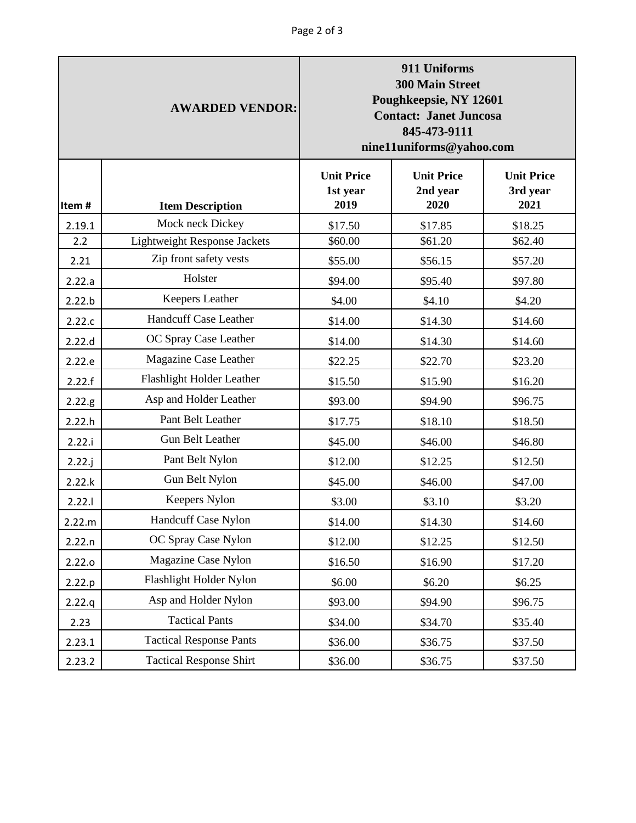| <b>AWARDED VENDOR:</b> |                                     | 911 Uniforms<br><b>300 Main Street</b><br>Poughkeepsie, NY 12601<br><b>Contact: Janet Juncosa</b><br>845-473-9111<br>nine11uniforms@yahoo.com |                                       |                                       |
|------------------------|-------------------------------------|-----------------------------------------------------------------------------------------------------------------------------------------------|---------------------------------------|---------------------------------------|
| Item#                  | <b>Item Description</b>             | <b>Unit Price</b><br>1st year<br>2019                                                                                                         | <b>Unit Price</b><br>2nd year<br>2020 | <b>Unit Price</b><br>3rd year<br>2021 |
| 2.19.1                 | Mock neck Dickey                    | \$17.50                                                                                                                                       | \$17.85                               | \$18.25                               |
| 2.2                    | <b>Lightweight Response Jackets</b> | \$60.00                                                                                                                                       | \$61.20                               | \$62.40                               |
| 2.21                   | Zip front safety vests              | \$55.00                                                                                                                                       | \$56.15                               | \$57.20                               |
| 2.22.a                 | Holster                             | \$94.00                                                                                                                                       | \$95.40                               | \$97.80                               |
| 2.22.b                 | Keepers Leather                     | \$4.00                                                                                                                                        | \$4.10                                | \$4.20                                |
| 2.22.c                 | <b>Handcuff Case Leather</b>        | \$14.00                                                                                                                                       | \$14.30                               | \$14.60                               |
| 2.22.d                 | OC Spray Case Leather               | \$14.00                                                                                                                                       | \$14.30                               | \$14.60                               |
| 2.22.e                 | Magazine Case Leather               | \$22.25                                                                                                                                       | \$22.70                               | \$23.20                               |
| 2.22.f                 | Flashlight Holder Leather           | \$15.50                                                                                                                                       | \$15.90                               | \$16.20                               |
| 2.22.g                 | Asp and Holder Leather              | \$93.00                                                                                                                                       | \$94.90                               | \$96.75                               |
| 2.22.h                 | Pant Belt Leather                   | \$17.75                                                                                                                                       | \$18.10                               | \$18.50                               |
| 2.22.i                 | <b>Gun Belt Leather</b>             | \$45.00                                                                                                                                       | \$46.00                               | \$46.80                               |
| 2.22.j                 | Pant Belt Nylon                     | \$12.00                                                                                                                                       | \$12.25                               | \$12.50                               |
| 2.22.k                 | Gun Belt Nylon                      | \$45.00                                                                                                                                       | \$46.00                               | \$47.00                               |
| 2.22.1                 | Keepers Nylon                       | \$3.00                                                                                                                                        | \$3.10                                | \$3.20                                |
| 2.22.m                 | Handcuff Case Nylon                 | \$14.00                                                                                                                                       | \$14.30                               | \$14.60                               |
| 2.22.n                 | OC Spray Case Nylon                 | \$12.00                                                                                                                                       | \$12.25                               | \$12.50                               |
| 2.22.0                 | Magazine Case Nylon                 | \$16.50                                                                                                                                       | \$16.90                               | \$17.20                               |
| 2.22.p                 | Flashlight Holder Nylon             | \$6.00                                                                                                                                        | \$6.20                                | \$6.25                                |
| 2.22.q                 | Asp and Holder Nylon                | \$93.00                                                                                                                                       | \$94.90                               | \$96.75                               |
| 2.23                   | <b>Tactical Pants</b>               | \$34.00                                                                                                                                       | \$34.70                               | \$35.40                               |
| 2.23.1                 | <b>Tactical Response Pants</b>      | \$36.00                                                                                                                                       | \$36.75                               | \$37.50                               |
| 2.23.2                 | <b>Tactical Response Shirt</b>      | \$36.00                                                                                                                                       | \$36.75                               | \$37.50                               |